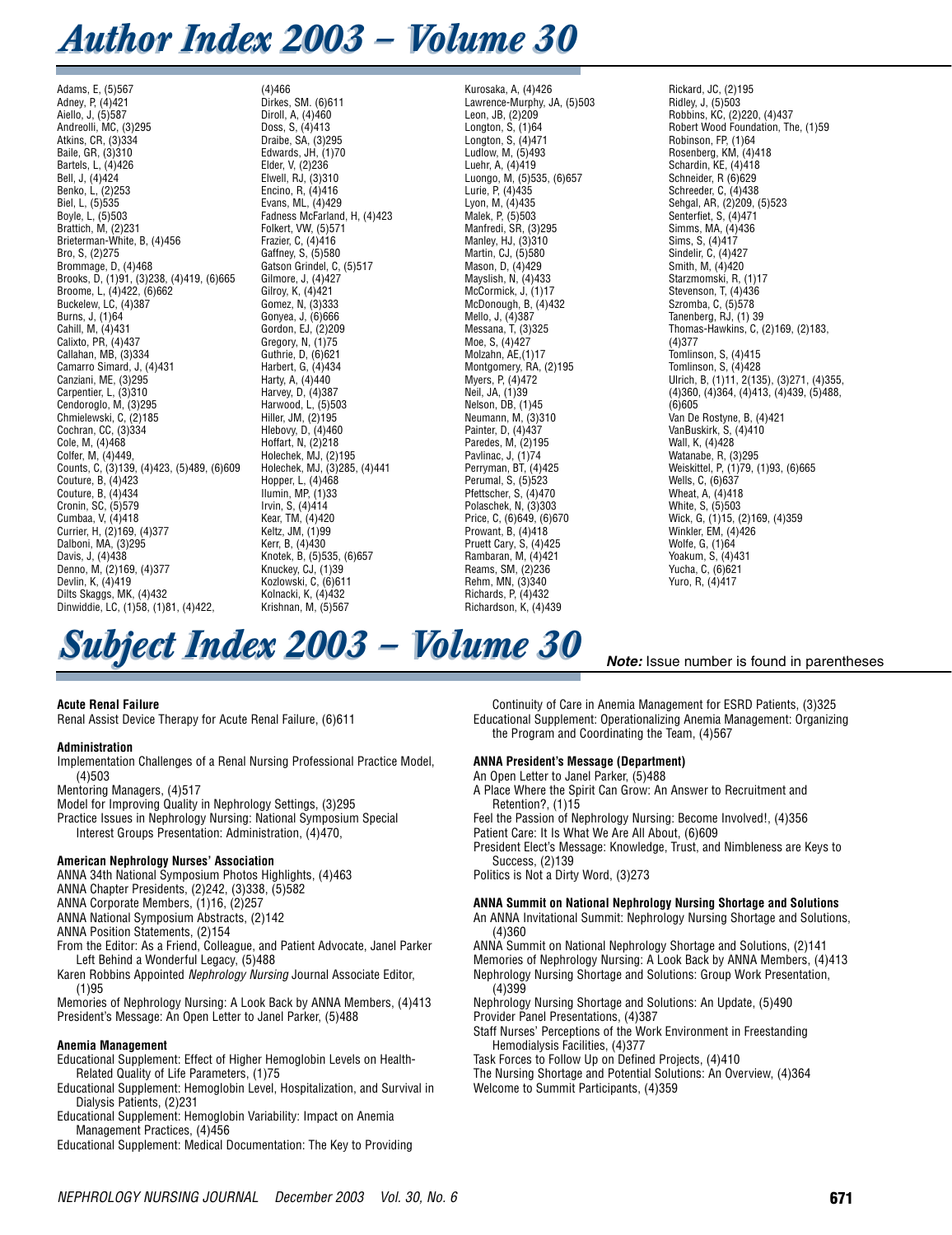# *Author Index 2003 – Volume 30*

Adams, E, (5)567 Adney, P, (4)421 Aiello, J, (5)587 Andreolli, MC, (3)295 Atkins, CR, (3)334 Baile, GR, (3)310 Bartels, L, (4)426 Bell, J, (4)424 Benko, L, (2)253 Biel, L, (5)535 Boyle, L, (5)503 Brattich, M, (2)231 Brieterman-White, B, (4)456 Bro, S, (2)275 Brommage, D, (4)468 Brooks, D, (1)91, (3)238, (4)419, (6)665 Broome, L, (4)422, (6)662 Buckelew, LC, (4)387 Burns, J, (1)64 Cahill, M, (4)431 Calixto, PR, (4)437 Callahan, MB, (3)334 Camarro Simard, J, (4)431 Canziani, ME, (3)295 Carpentier, L, (3)310 Cendoroglo, M, (3)295 Chmielewski, C, (2)185 Cochran, CC, (3)334 Cole, M, (4)468 Colfer, M, (4)449, Counts, C, (3)139, (4)423, (5)489, (6)609 Couture, B, (4)423 Couture, B, (4)434 Cronin, SC, (5)579 Cumbaa, V, (4)418 Currier, H, (2)169, (4)377 Dalboni, MA, (3)295 Davis, J, (4)438 Denno, M, (2)169, (4)377 Devlin, K, (4)419 Dilts Skaggs, MK, (4)432 Dinwiddie, LC, (1)58, (1)81, (4)422,

(4)466 Dirkes, SM. (6)611 Diroll, A, (4)460 Doss, S, (4)413 Draibe, SA, (3)295 Edwards, JH, (1)70 Elder, V, (2)236 Elwell, RJ, (3)310 Encino, R, (4)416 Evans, ML, (4)429 Fadness McFarland, H, (4)423 Folkert, VW, (5)571 Frazier, C, (4)416 Gaffney, S, (5)580 Gatson Grindel, C, (5)517 Gilmore, J, (4)427 Gilroy, K, (4)421 Gomez, N, (3)333 Gonyea, J, (6)666 Gordon, EJ, (2)209 Gregory, N, (1)75 Guthrie, D, (6)621 Harbert, G, (4)434 Harty, A, (4)440 Harvey, D, (4)387 Harwood, L, (5)503 Hiller, JM, (2)195 Hlebovy, D, (4)460 Hoffart, N, (2)218 Holechek, MJ, (2)195 Holechek, MJ, (3)285, (4)441 Hopper, L, (4)468 Ilumin,  $MP$ ,  $(1)33$ Irvin, S, (4)414 Kear, TM, (4)420 Keltz, JM, (1)99 Kerr, B, (4)430 Knotek, B, (5)535, (6)657 Knuckey, CJ, (1)39 Kozlowski, C, (6)611 Kolnacki, K, (4)432

Kurosaka, A, (4)426 Lawrence-Murphy, JA, (5)503 Leon, JB, (2)209 Longton, S, (1)64 Longton, S, (4)471 Ludlow, M, (5)493 Luehr, A, (4)419 Luongo, M, (5)535, (6)657 Lurie, P, (4)435 Lyon, M, (4)435 Malek, P, (5)503 Manfredi, SR, (3)295 Manley, HJ, (3)310 Martin, CJ, (5)580 Mason, D, (4)429 Mayslish, N, (4)433 McCormick, J, (1)17 McDonough, B, (4)432 Mello, J, (4)387 Messana, T, (3)325 Moe, S, (4)427 Molzahn, AE, (1)17 Montgomery, RA, (2)195 Myers, P, (4)472 Neil, JA, (1)39 Nelson, DB, (1)45 Neumann, M, (3)310 Painter, D, (4)437 Paredes, M, (2)195 Pavlinac, J, (1)74 Perryman, BT, (4)425 Perumal, S, (5)523 Pfettscher, S, (4)470 Polaschek, N, (3)303 Price, C, (6)649, (6)670 Prowant, B, (4)418 Pruett Cary, S, (4)425 Rambaran, M, (4)421 Reams, SM, (2)236 Rehm, MN, (3)340 Richards, P $(A)432$ 

Richardson, K, (4)439

Rickard, JC, (2)195 Ridley, J, (5)503 Robbins, KC, (2)220, (4)437 Robert Wood Foundation, The, (1)59 Robinson, FP, (1)64 Rosenberg, KM, (4)418 Schardin, KE, (4)418 Schneider, R (6)629 Schreeder, C, (4)438 Sehgal, AR, (2)209, (5)523 Senterfiet, S, (4)471 Simms, MA, (4)436 Sims, S, (4)417 Sindelir, C, (4)427 Smith, M, (4)420 Starzmomski, R, (1)17 Stevenson, T, (4)436 Szromba, C, (5)578 Tanenberg, RJ, (1) 39 Thomas-Hawkins, C, (2)169, (2)183, (4)377 Tomlinson, S, (4)415 Tomlinson, S, (4)428 Ulrich, B, (1)11, 2(135), (3)271, (4)355, (4)360, (4)364, (4)413, (4)439, (5)488,  $(6)605$ Van De Rostyne, B, (4)421 VanBuskirk, S, (4)410 Wall, K, (4)428 Watanabe, R, (3)295 Weiskittel, P, (1)79, (1)93, (6)665 Wells, C, (6)637 Wheat, A, (4)418 White, S, (5)503 Wick, G, (1)15, (2)169, (4)359 Winkler, EM, (4)426 Wolfe, G, (1)64 Yoakum, S, (4)431 Yucha, C, (6)621 Yuro, R, (4)417

*Note:* Issue number is found in parentheses

# **Subject Index 2003 – Volume 30**

Krishnan, M, (5)567

# **Acute Renal Failure**

Renal Assist Device Therapy for Acute Renal Failure, (6)611

# **Administration**

Implementation Challenges of a Renal Nursing Professional Practice Model, (4)503

Mentoring Managers, (4)517

- Model for Improving Quality in Nephrology Settings, (3)295
- Practice Issues in Nephrology Nursing: National Symposium Special
- Interest Groups Presentation: Administration, (4)470,

#### **American Nephrology Nurses' Association**

ANNA 34th National Symposium Photos Highlights, (4)463

ANNA Chapter Presidents, (2)242, (3)338, (5)582 ANNA Corporate Members, (1)16, (2)257

ANNA National Symposium Abstracts, (2)142

ANNA Position Statements, (2)154

From the Editor: As a Friend, Colleague, and Patient Advocate, Janel Parker Left Behind a Wonderful Legacy, (5)488

Karen Robbins Appointed *Nephrology Nursing* Journal Associate Editor, (1)95

Memories of Nephrology Nursing: A Look Back by ANNA Members, (4)413 President's Message: An Open Letter to Janel Parker, (5)488

# **Anemia Management**

Educational Supplement: Effect of Higher Hemoglobin Levels on Health-Related Quality of Life Parameters, (1)75

Educational Supplement: Hemoglobin Level, Hospitalization, and Survival in Dialysis Patients, (2)231

Educational Supplement: Hemoglobin Variability: Impact on Anemia Management Practices, (4)456

Educational Supplement: Medical Documentation: The Key to Providing

Continuity of Care in Anemia Management for ESRD Patients, (3)325 Educational Supplement: Operationalizing Anemia Management: Organizing the Program and Coordinating the Team, (4)567

# **ANNA President's Message (Department)**

An Open Letter to Janel Parker, (5)488

A Place Where the Spirit Can Grow: An Answer to Recruitment and Retention?, (1)15

Feel the Passion of Nephrology Nursing: Become Involved!, (4)356

Patient Care: It Is What We Are All About, (6)609

President Elect's Message: Knowledge, Trust, and Nimbleness are Keys to Success, (2)139

Politics is Not a Dirty Word, (3)273

# **ANNA Summit on National Nephrology Nursing Shortage and Solutions**

An ANNA Invitational Summit: Nephrology Nursing Shortage and Solutions, (4)360

ANNA Summit on National Nephrology Shortage and Solutions, (2)141 Memories of Nephrology Nursing: A Look Back by ANNA Members, (4)413 Nephrology Nursing Shortage and Solutions: Group Work Presentation, (4)399

Nephrology Nursing Shortage and Solutions: An Update, (5)490 Provider Panel Presentations, (4)387

Staff Nurses' Perceptions of the Work Environment in Freestanding Hemodialysis Facilities, (4)377

Task Forces to Follow Up on Defined Projects, (4)410

The Nursing Shortage and Potential Solutions: An Overview, (4)364 Welcome to Summit Participants, (4)359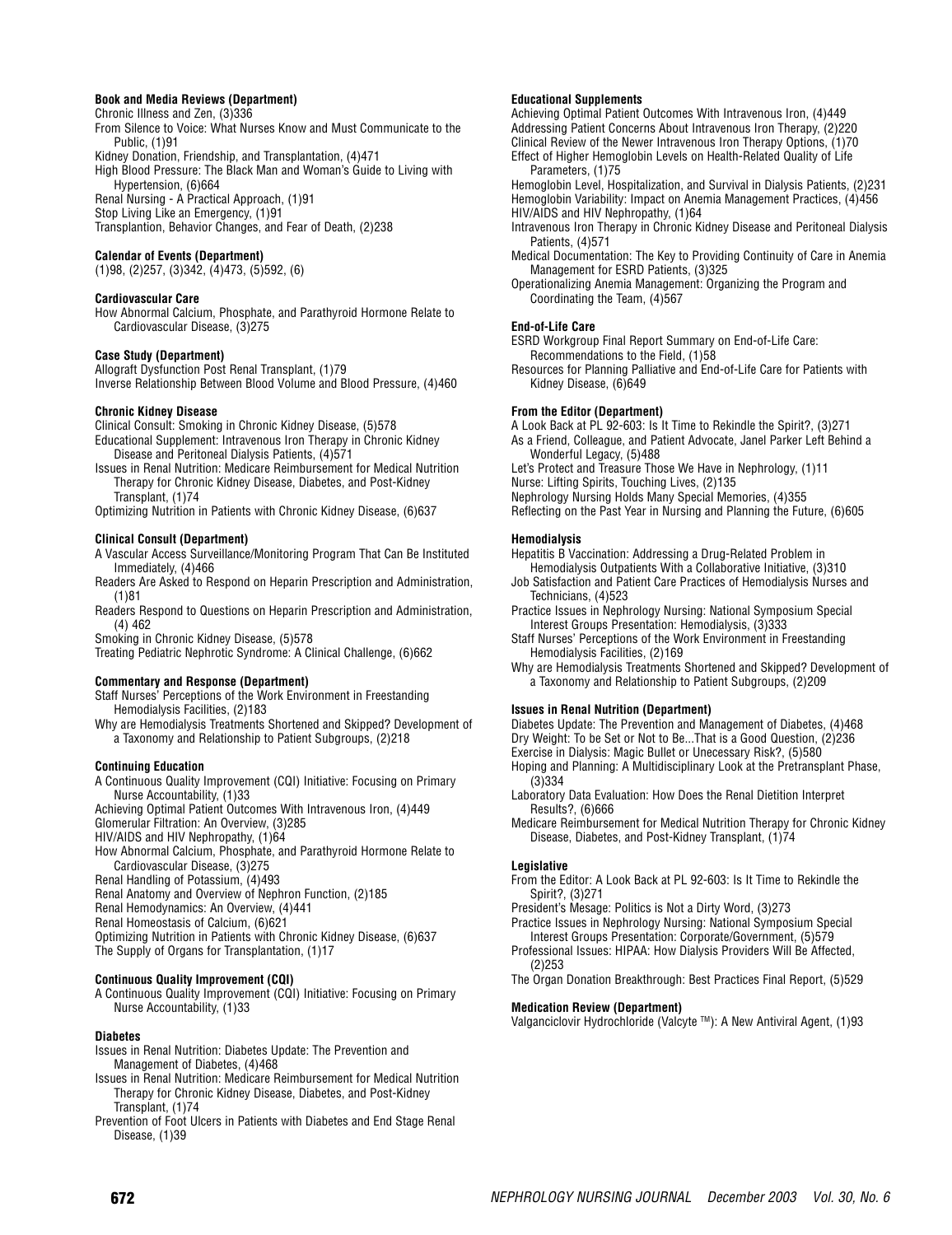#### **Book and Media Reviews (Department)**

Chronic Illness and Zen, (3)336

From Silence to Voice: What Nurses Know and Must Communicate to the Public, (1)91

Kidney Donation, Friendship, and Transplantation, (4)471 High Blood Pressure: The Black Man and Woman's Guide to Living with Hypertension, (6)664

Renal Nursing - A Practical Approach, (1)91

Stop Living Like an Emergency, (1)91

Transplantion, Behavior Changes, and Fear of Death, (2)238

# **Calendar of Events (Department)**

(1)98, (2)257, (3)342, (4)473, (5)592, (6)

# **Cardiovascular Care**

How Abnormal Calcium, Phosphate, and Parathyroid Hormone Relate to Cardiovascular Disease, (3)275

# **Case Study (Department)**

Allograft Dysfunction Post Renal Transplant, (1)79 Inverse Relationship Between Blood Volume and Blood Pressure, (4)460

# **Chronic Kidney Disease**

Clinical Consult: Smoking in Chronic Kidney Disease, (5)578 Educational Supplement: Intravenous Iron Therapy in Chronic Kidney

Disease and Peritoneal Dialysis Patients, (4)571

Issues in Renal Nutrition: Medicare Reimbursement for Medical Nutrition Therapy for Chronic Kidney Disease, Diabetes, and Post-Kidney Transplant, (1)74

Optimizing Nutrition in Patients with Chronic Kidney Disease, (6)637

# **Clinical Consult (Department)**

A Vascular Access Surveillance/Monitoring Program That Can Be Instituted Immediately, (4)466

- Readers Are Asked to Respond on Heparin Prescription and Administration, (1)81
- Readers Respond to Questions on Heparin Prescription and Administration, (4) 462

Smoking in Chronic Kidney Disease, (5)578

Treating Pediatric Nephrotic Syndrome: A Clinical Challenge, (6)662

# **Commentary and Response (Department)**

Staff Nurses' Perceptions of the Work Environment in Freestanding Hemodialysis Facilities, (2)183

Why are Hemodialysis Treatments Shortened and Skipped? Development of a Taxonomy and Relationship to Patient Subgroups, (2)218

#### **Continuing Education**

A Continuous Quality Improvement (CQI) Initiative: Focusing on Primary Nurse Accountability, (1)33

Achieving Optimal Patient Outcomes With Intravenous Iron, (4)449 Glomerular Filtration: An Overview, (3)285

HIV/AIDS and HIV Nephropathy, (1)64

How Abnormal Calcium, Phosphate, and Parathyroid Hormone Relate to Cardiovascular Disease, (3)275

Renal Handling of Potassium, (4)493

Renal Anatomy and Overview of Nephron Function, (2)185

Renal Hemodynamics: An Overview, (4)441

Renal Homeostasis of Calcium, (6)621

Optimizing Nutrition in Patients with Chronic Kidney Disease, (6)637 The Supply of Organs for Transplantation, (1)17

# **Continuous Quality Improvement (CQI)**

A Continuous Quality Improvement (CQI) Initiative: Focusing on Primary Nurse Accountability, (1)33

# **Diabetes**

- Issues in Renal Nutrition: Diabetes Update: The Prevention and Management of Diabetes, (4)468
- Issues in Renal Nutrition: Medicare Reimbursement for Medical Nutrition Therapy for Chronic Kidney Disease, Diabetes, and Post-Kidney Transplant, (1)74
- Prevention of Foot Ulcers in Patients with Diabetes and End Stage Renal Disease, (1)39

# **Educational Supplements**

Achieving Optimal Patient Outcomes With Intravenous Iron, (4)449 Addressing Patient Concerns About Intravenous Iron Therapy, (2)220 Clinical Review of the Newer Intravenous Iron Therapy Options, (1)70 Effect of Higher Hemoglobin Levels on Health-Related Quality of Life Parameters, (1)75

Hemoglobin Level, Hospitalization, and Survival in Dialysis Patients, (2)231 Hemoglobin Variability: Impact on Anemia Management Practices, (4)456 HIV/AIDS and HIV Nephropathy, (1)64

- Intravenous Iron Therapy in Chronic Kidney Disease and Peritoneal Dialysis Patients, (4)571
- Medical Documentation: The Key to Providing Continuity of Care in Anemia Management for ESRD Patients, (3)325

Operationalizing Anemia Management: Organizing the Program and Coordinating the Team, (4)567

# **End-of-Life Care**

ESRD Workgroup Final Report Summary on End-of-Life Care: Recommendations to the Field, (1)58

Resources for Planning Palliative and End-of-Life Care for Patients with Kidney Disease, (6)649

#### **From the Editor (Department)**

A Look Back at PL 92-603: Is It Time to Rekindle the Spirit?, (3)271

As a Friend, Colleague, and Patient Advocate, Janel Parker Left Behind a Wonderful Legacy, (5)488

Let's Protect and Treasure Those We Have in Nephrology, (1)11

Nurse: Lifting Spirits, Touching Lives, (2)135

Nephrology Nursing Holds Many Special Memories, (4)355 Reflecting on the Past Year in Nursing and Planning the Future, (6)605

# **Hemodialysis**

Hepatitis B Vaccination: Addressing a Drug-Related Problem in Hemodialysis Outpatients With a Collaborative Initiative, (3)310

- Job Satisfaction and Patient Care Practices of Hemodialysis Nurses and Technicians, (4)523
- Practice Issues in Nephrology Nursing: National Symposium Special Interest Groups Presentation: Hemodialysis, (3)333
- Staff Nurses' Perceptions of the Work Environment in Freestanding Hemodialysis Facilities, (2)169
- Why are Hemodialysis Treatments Shortened and Skipped? Development of a Taxonomy and Relationship to Patient Subgroups, (2)209

# **Issues in Renal Nutrition (Department)**

Diabetes Update: The Prevention and Management of Diabetes, (4)468 Dry Weight: To be Set or Not to Be...That is a Good Question, (2)236 Exercise in Dialysis: Magic Bullet or Unecessary Risk?, (5)580

Hoping and Planning: A Multidisciplinary Look at the Pretransplant Phase, (3)334

- Laboratory Data Evaluation: How Does the Renal Dietition Interpret Results?, (6)666
- Medicare Reimbursement for Medical Nutrition Therapy for Chronic Kidney Disease, Diabetes, and Post-Kidney Transplant, (1)74

#### **Legislative**

- From the Editor: A Look Back at PL 92-603: Is It Time to Rekindle the Spirit?, (3)271
- President's Mesage: Politics is Not a Dirty Word, (3)273
- Practice Issues in Nephrology Nursing: National Symposium Special Interest Groups Presentation: Corporate/Government, (5)579
- Professional Issues: HIPAA: How Dialysis Providers Will Be Affected, (2)253
- The Organ Donation Breakthrough: Best Practices Final Report, (5)529

# **Medication Review (Department)**

Valganciclovir Hydrochloride (Valcyte ™): A New Antiviral Agent, (1)93